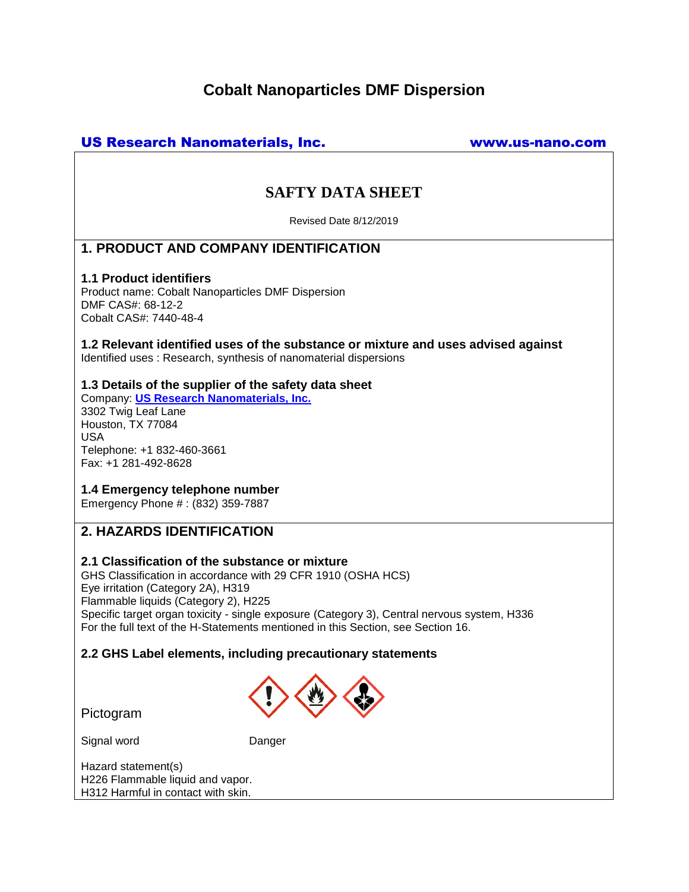# **Cobalt Nanoparticles DMF Dispersion**

# US Research Nanomaterials, Inc. www.us-nano.com

# **SAFTY DATA SHEET**

Revised Date 8/12/2019

## **1. PRODUCT AND COMPANY IDENTIFICATION**

#### **1.1 Product identifiers**

Product name: Cobalt Nanoparticles DMF Dispersion DMF CAS#: 68-12-2 Cobalt CAS#: 7440-48-4

**1.2 Relevant identified uses of the substance or mixture and uses advised against** Identified uses : Research, synthesis of nanomaterial dispersions

### **1.3 Details of the supplier of the safety data sheet**

Company: **[US Research Nanomaterials, Inc.](http://www.us-nano.com/)** 3302 Twig Leaf Lane Houston, TX 77084 USA Telephone: +1 832-460-3661 Fax: +1 281-492-8628

### **1.4 Emergency telephone number**

Emergency Phone # : (832) 359-7887

## **2. HAZARDS IDENTIFICATION**

### **2.1 Classification of the substance or mixture**

GHS Classification in accordance with 29 CFR 1910 (OSHA HCS) Eye irritation (Category 2A), H319 Flammable liquids (Category 2), H225 Specific target organ toxicity - single exposure (Category 3), Central nervous system, H336 For the full text of the H-Statements mentioned in this Section, see Section 16.

### **2.2 GHS Label elements, including precautionary statements**



Pictogram

Signal word Danger

Hazard statement(s) H226 Flammable liquid and vapor. H312 Harmful in contact with skin.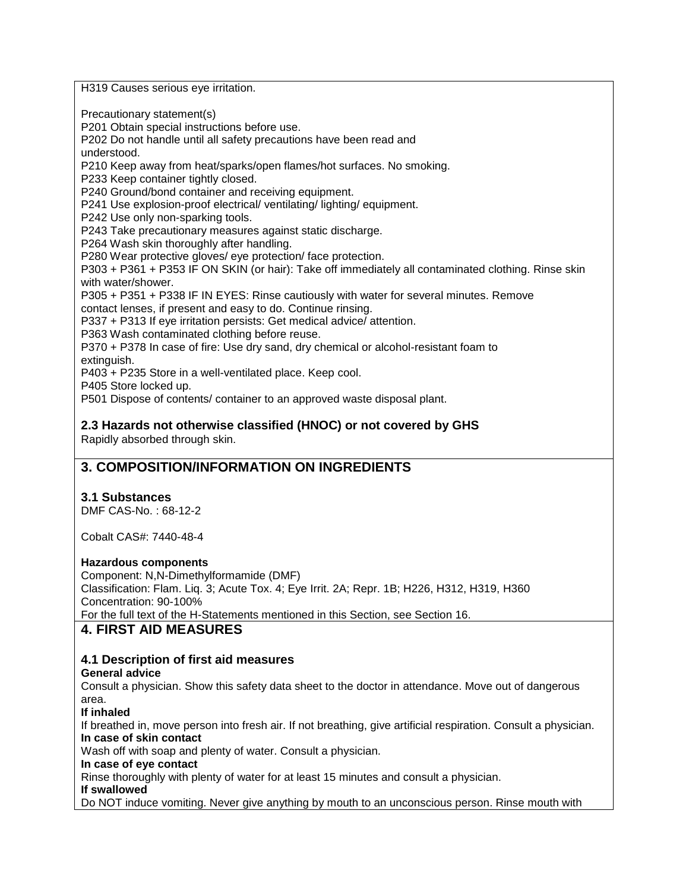H319 Causes serious eye irritation.

Precautionary statement(s)

P201 Obtain special instructions before use.

P202 Do not handle until all safety precautions have been read and

understood.

P210 Keep away from heat/sparks/open flames/hot surfaces. No smoking.

P233 Keep container tightly closed.

P240 Ground/bond container and receiving equipment.

P241 Use explosion-proof electrical/ ventilating/ lighting/ equipment.

P242 Use only non-sparking tools.

P243 Take precautionary measures against static discharge.

P264 Wash skin thoroughly after handling.

P280 Wear protective gloves/ eye protection/ face protection.

P303 + P361 + P353 IF ON SKIN (or hair): Take off immediately all contaminated clothing. Rinse skin with water/shower.

P305 + P351 + P338 IF IN EYES: Rinse cautiously with water for several minutes. Remove

contact lenses, if present and easy to do. Continue rinsing.

P337 + P313 If eye irritation persists: Get medical advice/ attention.

P363 Wash contaminated clothing before reuse.

P370 + P378 In case of fire: Use dry sand, dry chemical or alcohol-resistant foam to extinguish.

P403 + P235 Store in a well-ventilated place. Keep cool.

P405 Store locked up.

P501 Dispose of contents/ container to an approved waste disposal plant.

## **2.3 Hazards not otherwise classified (HNOC) or not covered by GHS**

Rapidly absorbed through skin.

# **3. COMPOSITION/INFORMATION ON INGREDIENTS**

### **3.1 Substances**

DMF CAS-No. : 68-12-2

Cobalt CAS#: 7440-48-4

#### **Hazardous components**

Component: N,N-Dimethylformamide (DMF) Classification: Flam. Liq. 3; Acute Tox. 4; Eye Irrit. 2A; Repr. 1B; H226, H312, H319, H360 Concentration: 90-100%

For the full text of the H-Statements mentioned in this Section, see Section 16.

## **4. FIRST AID MEASURES**

## **4.1 Description of first aid measures**

### **General advice**

Consult a physician. Show this safety data sheet to the doctor in attendance. Move out of dangerous area.

**If inhaled**

If breathed in, move person into fresh air. If not breathing, give artificial respiration. Consult a physician. **In case of skin contact**

Wash off with soap and plenty of water. Consult a physician.

#### **In case of eye contact**

Rinse thoroughly with plenty of water for at least 15 minutes and consult a physician.

**If swallowed**

Do NOT induce vomiting. Never give anything by mouth to an unconscious person. Rinse mouth with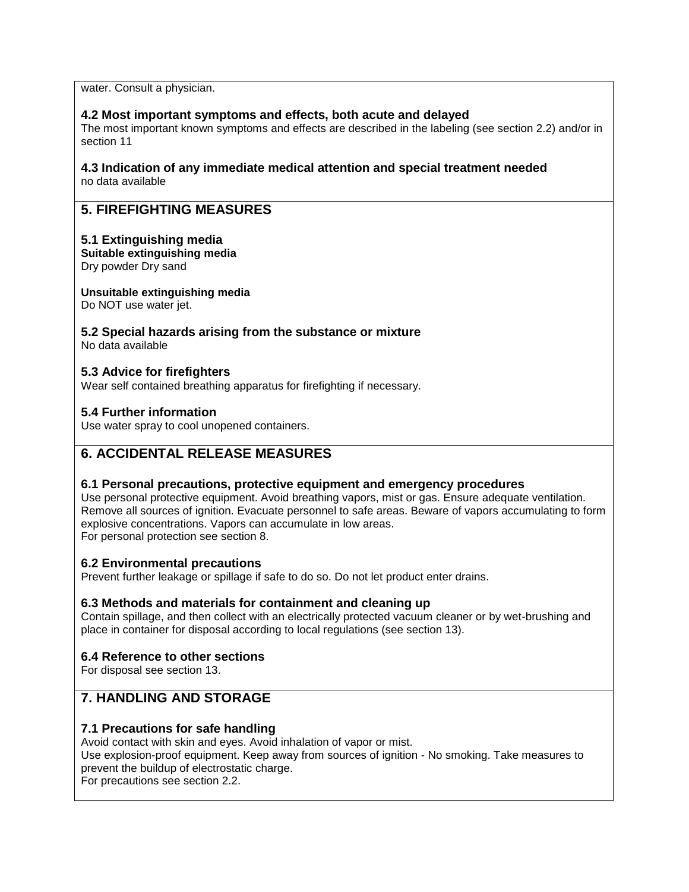water. Consult a physician.

### **4.2 Most important symptoms and effects, both acute and delayed**

The most important known symptoms and effects are described in the labeling (see section 2.2) and/or in section 11

#### **4.3 Indication of any immediate medical attention and special treatment needed** no data available

## **5. FIREFIGHTING MEASURES**

### **5.1 Extinguishing media**

**Suitable extinguishing media** Dry powder Dry sand

**Unsuitable extinguishing media** Do NOT use water jet.

#### **5.2 Special hazards arising from the substance or mixture** No data available

#### **5.3 Advice for firefighters**

Wear self contained breathing apparatus for firefighting if necessary.

#### **5.4 Further information**

Use water spray to cool unopened containers.

## **6. ACCIDENTAL RELEASE MEASURES**

#### **6.1 Personal precautions, protective equipment and emergency procedures**

Use personal protective equipment. Avoid breathing vapors, mist or gas. Ensure adequate ventilation. Remove all sources of ignition. Evacuate personnel to safe areas. Beware of vapors accumulating to form explosive concentrations. Vapors can accumulate in low areas. For personal protection see section 8.

#### **6.2 Environmental precautions**

Prevent further leakage or spillage if safe to do so. Do not let product enter drains.

#### **6.3 Methods and materials for containment and cleaning up**

Contain spillage, and then collect with an electrically protected vacuum cleaner or by wet-brushing and place in container for disposal according to local regulations (see section 13).

#### **6.4 Reference to other sections**

For disposal see section 13.

## **7. HANDLING AND STORAGE**

### **7.1 Precautions for safe handling**

Avoid contact with skin and eyes. Avoid inhalation of vapor or mist.

Use explosion-proof equipment. Keep away from sources of ignition - No smoking. Take measures to prevent the buildup of electrostatic charge.

For precautions see section 2.2.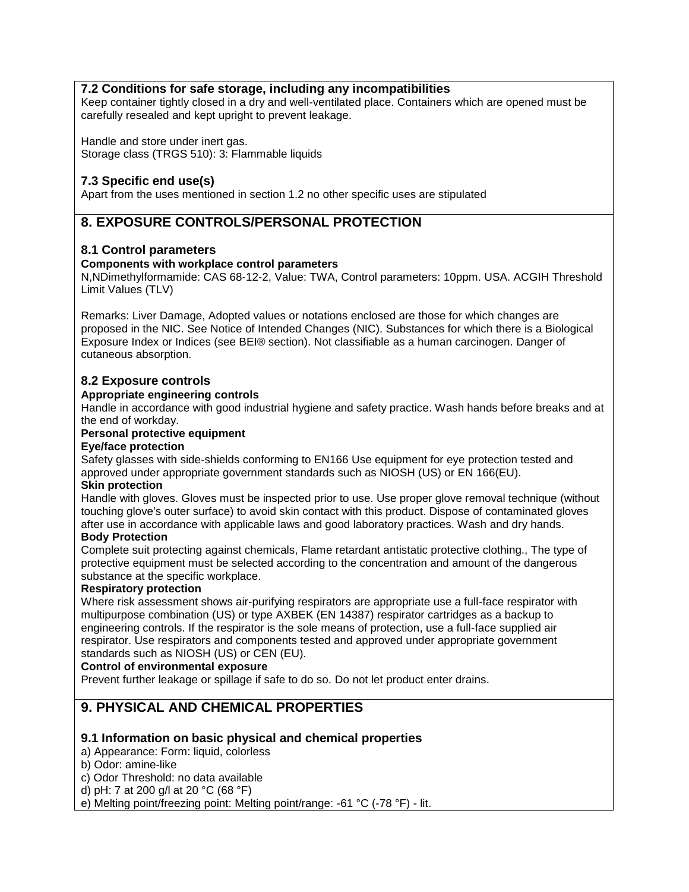### **7.2 Conditions for safe storage, including any incompatibilities**

Keep container tightly closed in a dry and well-ventilated place. Containers which are opened must be carefully resealed and kept upright to prevent leakage.

Handle and store under inert gas. Storage class (TRGS 510): 3: Flammable liquids

### **7.3 Specific end use(s)**

Apart from the uses mentioned in section 1.2 no other specific uses are stipulated

## **8. EXPOSURE CONTROLS/PERSONAL PROTECTION**

### **8.1 Control parameters**

#### **Components with workplace control parameters**

N,NDimethylformamide: CAS 68-12-2, Value: TWA, Control parameters: 10ppm. USA. ACGIH Threshold Limit Values (TLV)

Remarks: Liver Damage, Adopted values or notations enclosed are those for which changes are proposed in the NIC. See Notice of Intended Changes (NIC). Substances for which there is a Biological Exposure Index or Indices (see BEI® section). Not classifiable as a human carcinogen. Danger of cutaneous absorption.

#### **8.2 Exposure controls**

#### **Appropriate engineering controls**

Handle in accordance with good industrial hygiene and safety practice. Wash hands before breaks and at the end of workday.

#### **Personal protective equipment**

#### **Eye/face protection**

Safety glasses with side-shields conforming to EN166 Use equipment for eye protection tested and approved under appropriate government standards such as NIOSH (US) or EN 166(EU).

## **Skin protection**

Handle with gloves. Gloves must be inspected prior to use. Use proper glove removal technique (without touching glove's outer surface) to avoid skin contact with this product. Dispose of contaminated gloves after use in accordance with applicable laws and good laboratory practices. Wash and dry hands.

#### **Body Protection**

Complete suit protecting against chemicals, Flame retardant antistatic protective clothing., The type of protective equipment must be selected according to the concentration and amount of the dangerous substance at the specific workplace.

#### **Respiratory protection**

Where risk assessment shows air-purifying respirators are appropriate use a full-face respirator with multipurpose combination (US) or type AXBEK (EN 14387) respirator cartridges as a backup to engineering controls. If the respirator is the sole means of protection, use a full-face supplied air respirator. Use respirators and components tested and approved under appropriate government standards such as NIOSH (US) or CEN (EU).

#### **Control of environmental exposure**

Prevent further leakage or spillage if safe to do so. Do not let product enter drains.

## **9. PHYSICAL AND CHEMICAL PROPERTIES**

#### **9.1 Information on basic physical and chemical properties**

- a) Appearance: Form: liquid, colorless
- b) Odor: amine-like
- c) Odor Threshold: no data available
- d) pH: 7 at 200 g/l at 20 °C (68 °F)
- e) Melting point/freezing point: Melting point/range: -61 °C (-78 °F) lit.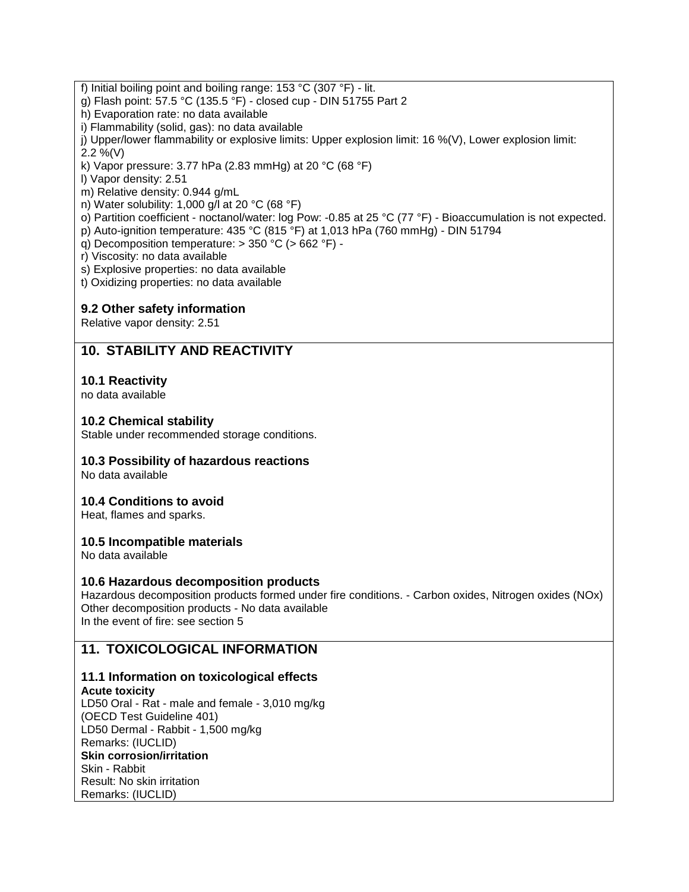f) Initial boiling point and boiling range: 153 °C (307 °F) - lit.

- g) Flash point: 57.5 °C (135.5 °F) closed cup DIN 51755 Part 2
- h) Evaporation rate: no data available
- i) Flammability (solid, gas): no data available

j) Upper/lower flammability or explosive limits: Upper explosion limit: 16 %(V), Lower explosion limit:

2.2 %(V)

k) Vapor pressure: 3.77 hPa (2.83 mmHg) at 20  $^{\circ}$ C (68  $^{\circ}$ F)

l) Vapor density: 2.51

m) Relative density: 0.944 g/mL

n) Water solubility: 1,000 g/l at 20 °C (68 °F)

o) Partition coefficient - noctanol/water: log Pow: -0.85 at 25 °C (77 °F) - Bioaccumulation is not expected.

- p) Auto-ignition temperature: 435 °C (815 °F) at 1,013 hPa (760 mmHg) DIN 51794
- q) Decomposition temperature: > 350 °C (> 662 °F) -

r) Viscosity: no data available

s) Explosive properties: no data available

t) Oxidizing properties: no data available

### **9.2 Other safety information**

Relative vapor density: 2.51

## **10. STABILITY AND REACTIVITY**

### **10.1 Reactivity**

no data available

### **10.2 Chemical stability**

Stable under recommended storage conditions.

## **10.3 Possibility of hazardous reactions**

No data available

### **10.4 Conditions to avoid**

Heat, flames and sparks.

### **10.5 Incompatible materials**

No data available

### **10.6 Hazardous decomposition products**

Hazardous decomposition products formed under fire conditions. - Carbon oxides, Nitrogen oxides (NOx) Other decomposition products - No data available In the event of fire: see section 5

## **11. TOXICOLOGICAL INFORMATION**

### **11.1 Information on toxicological effects Acute toxicity**

LD50 Oral - Rat - male and female - 3,010 mg/kg (OECD Test Guideline 401) LD50 Dermal - Rabbit - 1,500 mg/kg Remarks: (IUCLID) **Skin corrosion/irritation** Skin - Rabbit Result: No skin irritation Remarks: (IUCLID)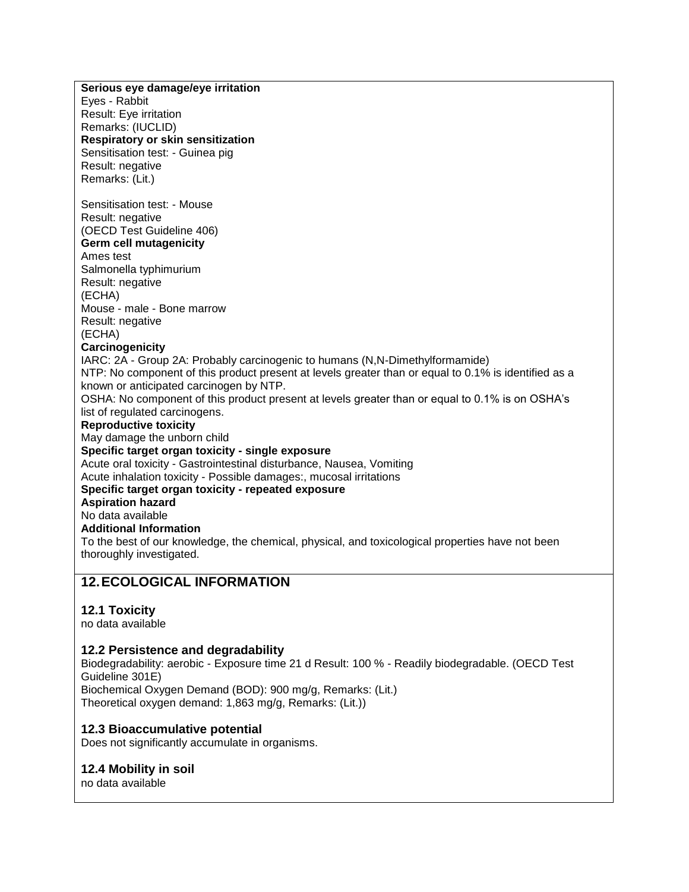**Serious eye damage/eye irritation** Eyes - Rabbit Result: Eye irritation Remarks: (IUCLID) **Respiratory or skin sensitization** Sensitisation test: - Guinea pig Result: negative Remarks: (Lit.) Sensitisation test: - Mouse Result: negative (OECD Test Guideline 406) **Germ cell mutagenicity** Ames test Salmonella typhimurium Result: negative (ECHA) Mouse - male - Bone marrow Result: negative (ECHA) **Carcinogenicity** IARC: 2A - Group 2A: Probably carcinogenic to humans (N,N-Dimethylformamide) NTP: No component of this product present at levels greater than or equal to 0.1% is identified as a known or anticipated carcinogen by NTP. OSHA: No component of this product present at levels greater than or equal to 0.1% is on OSHA's list of regulated carcinogens. **Reproductive toxicity** May damage the unborn child **Specific target organ toxicity - single exposure** Acute oral toxicity - Gastrointestinal disturbance, Nausea, Vomiting Acute inhalation toxicity - Possible damages:, mucosal irritations **Specific target organ toxicity - repeated exposure Aspiration hazard** No data available **Additional Information** To the best of our knowledge, the chemical, physical, and toxicological properties have not been thoroughly investigated. **12.ECOLOGICAL INFORMATION**

### **12.1 Toxicity**

no data available

#### **12.2 Persistence and degradability**

Biodegradability: aerobic - Exposure time 21 d Result: 100 % - Readily biodegradable. (OECD Test Guideline 301E) Biochemical Oxygen Demand (BOD): 900 mg/g, Remarks: (Lit.) Theoretical oxygen demand: 1,863 mg/g, Remarks: (Lit.))

#### **12.3 Bioaccumulative potential**

Does not significantly accumulate in organisms.

### **12.4 Mobility in soil**

no data available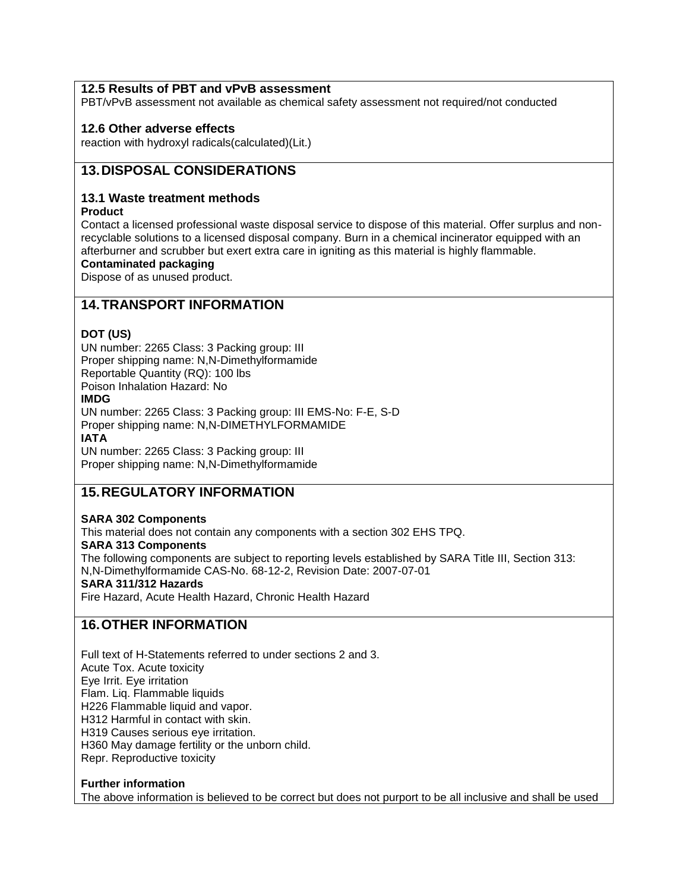### **12.5 Results of PBT and vPvB assessment**

PBT/vPvB assessment not available as chemical safety assessment not required/not conducted

#### **12.6 Other adverse effects**

reaction with hydroxyl radicals(calculated)(Lit.)

## **13.DISPOSAL CONSIDERATIONS**

### **13.1 Waste treatment methods**

#### **Product**

Contact a licensed professional waste disposal service to dispose of this material. Offer surplus and nonrecyclable solutions to a licensed disposal company. Burn in a chemical incinerator equipped with an afterburner and scrubber but exert extra care in igniting as this material is highly flammable.

#### **Contaminated packaging**

Dispose of as unused product.

## **14.TRANSPORT INFORMATION**

### **DOT (US)**

UN number: 2265 Class: 3 Packing group: III Proper shipping name: N,N-Dimethylformamide Reportable Quantity (RQ): 100 lbs Poison Inhalation Hazard: No

#### **IMDG**

UN number: 2265 Class: 3 Packing group: III EMS-No: F-E, S-D Proper shipping name: N,N-DIMETHYLFORMAMIDE **IATA** UN number: 2265 Class: 3 Packing group: III

Proper shipping name: N,N-Dimethylformamide

## **15.REGULATORY INFORMATION**

#### **SARA 302 Components**

This material does not contain any components with a section 302 EHS TPQ. **SARA 313 Components** The following components are subject to reporting levels established by SARA Title III, Section 313: N,N-Dimethylformamide CAS-No. 68-12-2, Revision Date: 2007-07-01 **SARA 311/312 Hazards** Fire Hazard, Acute Health Hazard, Chronic Health Hazard

## **16.OTHER INFORMATION**

Full text of H-Statements referred to under sections 2 and 3. Acute Tox. Acute toxicity Eye Irrit. Eye irritation Flam. Liq. Flammable liquids H226 Flammable liquid and vapor. H312 Harmful in contact with skin. H319 Causes serious eye irritation. H360 May damage fertility or the unborn child. Repr. Reproductive toxicity

#### **Further information**

The above information is believed to be correct but does not purport to be all inclusive and shall be used